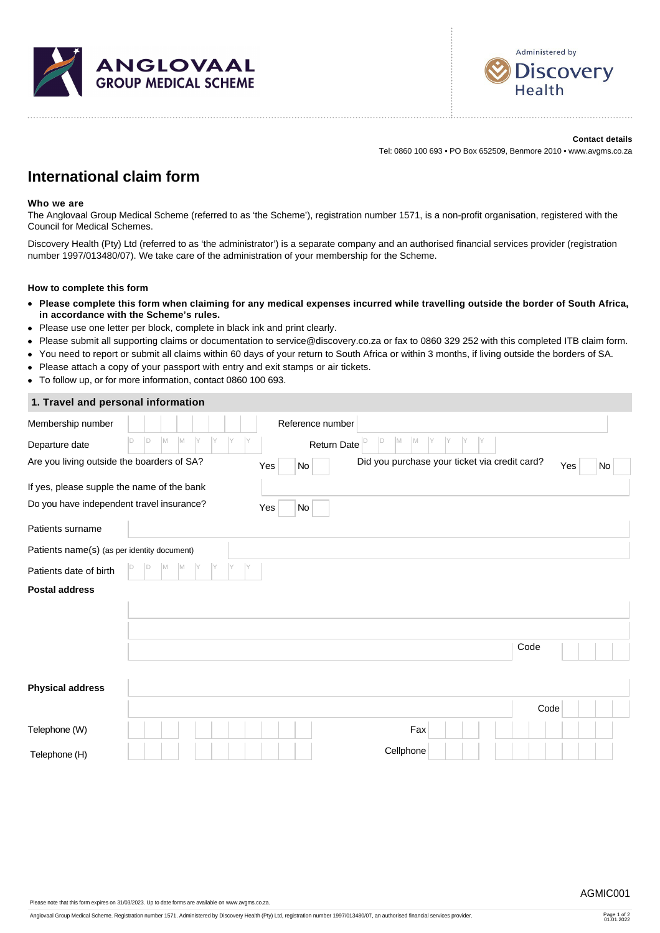



**Contact details** Tel: 0860 100 693 • PO Box 652509, Benmore 2010 • www.avgms.co.za

# **International claim form**

### **Who we are**

The Anglovaal Group Medical Scheme (referred to as 'the Scheme'), registration number 1571, is a non-profit organisation, registered with the Council for Medical Schemes.

Discovery Health (Pty) Ltd (referred to as 'the administrator') is a separate company and an authorised financial services provider (registration number 1997/013480/07). We take care of the administration of your membership for the Scheme.

#### **How to complete this form**

- **Please complete this form when claiming for any medical expenses incurred while travelling outside the border of South Africa, in accordance with the Scheme's rules.**
- Please use one letter per block, complete in black ink and print clearly.
- Please submit all supporting claims or documentation to service@discovery.co.za or fax to 0860 329 252 with this completed ITB claim form.
- You need to report or submit all claims within 60 days of your return to South Africa or within 3 months, if living outside the borders of SA.
- Please attach a copy of your passport with entry and exit stamps or air tickets.
- To follow up, or for more information, contact 0860 100 693.

## **1. Travel and personal information**

| Membership number                           |                  |          |     | Reference number                 |                                               |               |      |           |
|---------------------------------------------|------------------|----------|-----|----------------------------------|-----------------------------------------------|---------------|------|-----------|
| Departure date                              | D<br>M<br>M<br>D | IY<br>IY |     | Return Date $\vert$ <sup>D</sup> | M<br>D<br>M<br>IY                             | IY<br>Υ<br>IY |      |           |
| Are you living outside the boarders of SA?  |                  |          | Yes | No                               | Did you purchase your ticket via credit card? |               |      | Yes<br>No |
| If yes, please supple the name of the bank  |                  |          |     |                                  |                                               |               |      |           |
| Do you have independent travel insurance?   |                  |          | Yes | No                               |                                               |               |      |           |
| Patients surname                            |                  |          |     |                                  |                                               |               |      |           |
| Patients name(s) (as per identity document) |                  |          |     |                                  |                                               |               |      |           |
| Patients date of birth                      | M                |          |     |                                  |                                               |               |      |           |
| <b>Postal address</b>                       |                  |          |     |                                  |                                               |               |      |           |
|                                             |                  |          |     |                                  |                                               |               |      |           |
|                                             |                  |          |     |                                  |                                               |               |      |           |
|                                             |                  |          |     |                                  |                                               |               | Code |           |
|                                             |                  |          |     |                                  |                                               |               |      |           |
| <b>Physical address</b>                     |                  |          |     |                                  |                                               |               |      |           |
|                                             |                  |          |     |                                  |                                               |               | Code |           |
| Telephone (W)                               |                  |          |     |                                  | Fax                                           |               |      |           |
| Telephone (H)                               |                  |          |     |                                  | Cellphone                                     |               |      |           |